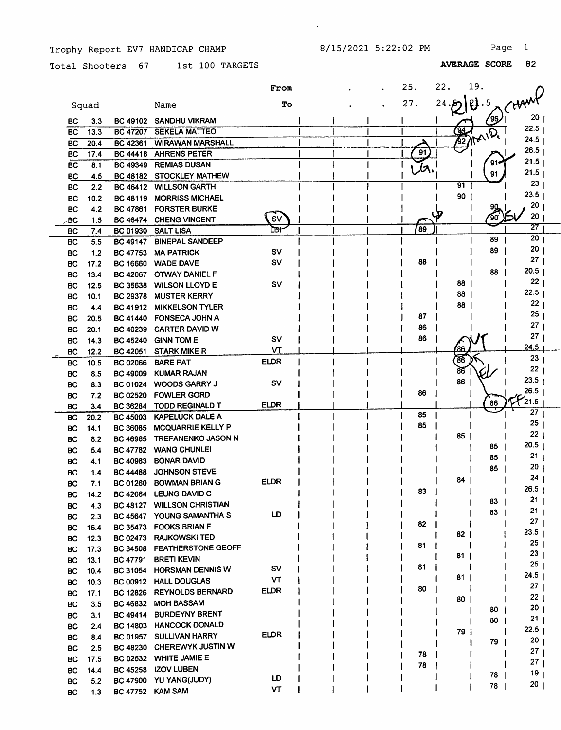8/15/2021 5:22:02 PM Page 1

 $\mathcal{L}^{\pm}$ 

Trophy Report EV7 HANDICAP CHAMP

Total Shooters 67 1st 100 TARGETS

|           |       |                 |                           | <b>From</b> |  | 25.             | 22.  | 19.         |                   |  |
|-----------|-------|-----------------|---------------------------|-------------|--|-----------------|------|-------------|-------------------|--|
|           | Squad |                 | Name                      | To          |  | 27.             | 24   | $\ell$ .5   |                   |  |
| BC        | 3.3   | <b>BC 49102</b> | <b>SANDHU VIKRAM</b>      |             |  |                 |      | ⁄96         | 20 <sub>1</sub>   |  |
| BC        | 13.3  | <b>BC 47207</b> | <b>SEKELA MATTEO</b>      |             |  |                 |      | $\sqrt{22}$ | 22.5              |  |
| <b>BC</b> | 20.4  | BC 42361        | <b>WIRAWAN MARSHALL</b>   |             |  |                 |      |             | 24.5              |  |
| <b>BC</b> | 17.4  | <b>BC 44418</b> | <b>AHRENS PETER</b>       |             |  | $\overline{91}$ |      |             | 26.5              |  |
| BC        | 8.1   | <b>BC 49349</b> | <b>REMIAS DUSAN</b>       |             |  | ىر              |      |             | 21.5              |  |
| <b>BC</b> | 4.5   | <b>BC 48182</b> | <b>STOCKLEY MATHEW</b>    |             |  |                 |      | 91          | 21.5              |  |
| <b>BC</b> | 2.2   | <b>BC 46412</b> | <b>WILLSON GARTH</b>      |             |  |                 | 91   |             | 23                |  |
| BC        | 10.2  | <b>BC 48119</b> | <b>MORRISS MICHAEL</b>    |             |  |                 | 90   |             | 23.5              |  |
| BC        | 4.2   | <b>BC 47861</b> | <b>FORSTER BURKE</b>      |             |  |                 |      |             | 20                |  |
| .BC       | 1.5   | <b>BC 46474</b> | <b>CHENG VINCENT</b>      | <b>SV</b>   |  |                 |      |             | 20                |  |
| BC        | 7.4   | <b>BC 01930</b> | <b>SALT LISA</b>          | ԸDН         |  | 89              |      |             | 27                |  |
| <b>BC</b> | 5.5   | <b>BC 49147</b> | <b>BINEPAL SANDEEP</b>    |             |  |                 |      | 89          | 20                |  |
| <b>BC</b> | 1.2   | <b>BC 47753</b> | <b>MA PATRICK</b>         | sv          |  |                 |      | 89          | 20                |  |
| BC        | 17.2  | <b>BC 16660</b> | <b>WADE DAVE</b>          | sv          |  | 88              |      |             | 27 <sub>1</sub>   |  |
| BC        | 13.4  | <b>BC 42067</b> | <b>OTWAY DANIEL F</b>     |             |  |                 |      | 88          | 20.5              |  |
| BC        | 12.5  | <b>BC 35638</b> | <b>WILSON LLOYD E</b>     | <b>SV</b>   |  |                 | 88   |             | 22 <sub>1</sub>   |  |
| BС        | 10.1  | <b>BC 29378</b> | <b>MUSTER KERRY</b>       |             |  |                 | 88   |             | 22.5              |  |
| <b>BC</b> | 4.4   | <b>BC 41912</b> | <b>MIKKELSON TYLER</b>    |             |  |                 | 88   |             | 22                |  |
| BС        | 20.5  | <b>BC 41440</b> | <b>FONSECA JOHN A</b>     |             |  | 87              |      |             | 25                |  |
| BС        | 20.1  | <b>BC 40239</b> | <b>CARTER DAVID W</b>     |             |  | 86              |      |             | 27                |  |
| BС        | 14.3  | <b>BC 45240</b> | <b>GINN TOM E</b>         | SV          |  | 86              |      |             | 27                |  |
| <b>BC</b> | 12.2  | BC 42051        | <b>STARK MIKE R</b>       | VΤ          |  |                 |      |             | 24.5              |  |
| <b>BC</b> | 10.5  | <b>BC 02066</b> | <b>BARE PAT</b>           | <b>ELDR</b> |  |                 | 86   |             | 23                |  |
| BC        | 8.5   | <b>BC 49009</b> | <b>KUMAR RAJAN</b>        |             |  |                 | 86   |             | 22                |  |
| <b>BC</b> | 8.3   | BC 01024        | <b>WOODS GARRY J</b>      | sv          |  |                 | 86   |             | 23.5              |  |
| BC        | 7.2   | <b>BC 02520</b> | <b>FOWLER GORD</b>        |             |  | 86              |      |             | 26.5<br>21.5      |  |
| <b>BC</b> | 3.4   | <b>BC 36284</b> | <b>TODD REGINALD T</b>    | <b>ELDR</b> |  |                 |      | 86          | 27                |  |
| <b>BC</b> | 20.2  | <b>BC 45003</b> | <b>KAPELUCK DALE A</b>    |             |  | 85              |      |             | 25                |  |
| <b>BC</b> | 14.1  | <b>BC 36085</b> | <b>MCQUARRIE KELLY P</b>  |             |  | 85              |      |             | 22                |  |
| BC        | 8.2   | <b>BC 46965</b> | <b>TREFANENKO JASON N</b> |             |  |                 | 85   |             | 20.5              |  |
| ВC        | 5.4   | <b>BC 47782</b> | <b>WANG CHUNLEI</b>       |             |  |                 |      | 85          | 21                |  |
| BC        | 4.1   | <b>BC 40983</b> | <b>BONAR DAVID</b>        |             |  |                 |      | 85          | 20                |  |
| ВC        | 1.4   | <b>BC 44488</b> | <b>JOHNSON STEVE</b>      |             |  |                 |      | 85          | 24                |  |
| BС        | 7.1   | <b>BC 01260</b> | <b>BOWMAN BRIAN G</b>     | ELDR        |  |                 | 84   |             | $26.5$            |  |
| BC        | 14.2  | <b>BC 42064</b> | LEUNG DAVID C             |             |  | 83              |      |             | 21                |  |
| BC        | 4.3   | <b>BC 48127</b> | <b>WILLSON CHRISTIAN</b>  |             |  |                 |      | 83  <br>83  | 21                |  |
| <b>BC</b> | 2.3   | <b>BC 45647</b> | YOUNG SAMANTHA S          | LD          |  |                 |      |             | 27 <sub>1</sub>   |  |
| BC        | 16.4  |                 | BC 35473 FOOKS BRIAN F    |             |  | 82              |      |             | 23.5              |  |
| <b>BC</b> | 12.3  | <b>BC 02473</b> | <b>RAJKOWSKI TED</b>      |             |  |                 | $82$ |             | 25                |  |
| <b>BC</b> | 17.3  | <b>BC 34508</b> | <b>FEATHERSTONE GEOFF</b> |             |  | 81              | 81   |             | 23 <sub>1</sub>   |  |
| <b>BC</b> | 13.1  | <b>BC 47791</b> | <b>BRETI KEVIN</b>        |             |  |                 |      |             | 25 <sub>1</sub>   |  |
| <b>BC</b> | 10.4  | <b>BC 31054</b> | <b>HORSMAN DENNIS W</b>   | <b>SV</b>   |  | 81              | 81   |             | 24.5 <sub>1</sub> |  |
| BC        | 10.3  |                 | BC 00912 HALL DOUGLAS     | VТ          |  | 80              |      |             | 27 <sub>1</sub>   |  |
| BC        | 17.1  | <b>BC 12826</b> | <b>REYNOLDS BERNARD</b>   | <b>ELDR</b> |  |                 | 80   |             | 22 <sub>1</sub>   |  |
| BC        | 3.5   | <b>BC 46832</b> | <b>MOH BASSAM</b>         |             |  |                 |      | 80          | 20 <sub>1</sub>   |  |
| <b>BC</b> | 3.1   | <b>BC 49414</b> | <b>BURDEYNY BRENT</b>     |             |  |                 |      | 80 I        | 21 <sub>1</sub>   |  |
| <b>BC</b> | 2.4   | <b>BC 14803</b> | <b>HANCOCK DONALD</b>     |             |  |                 | 79   |             | 22.5              |  |
| BC        | 8.4   | <b>BC 01957</b> | <b>SULLIVAN HARRY</b>     | <b>ELDR</b> |  |                 |      | 79 I        | 20 <sub>1</sub>   |  |
| <b>BC</b> | 2.5   | <b>BC 48230</b> | CHEREWYK JUSTIN W         |             |  | 78              |      |             | 27 <sub>1</sub>   |  |
| BC        | 17.5  |                 | BC 02532 WHITE JAMIE E    |             |  | 78              |      |             | 27 <sub>1</sub>   |  |
| <b>BC</b> | 14.4  | <b>BC 45258</b> | <b>IZOV LUBEN</b>         |             |  |                 |      | 78          | 19 <sub>1</sub>   |  |
| <b>BC</b> | 5.2   |                 | BC 47900 YU YANG(JUDY)    | LD          |  |                 |      | 78          | 20 <sub>1</sub>   |  |
| BC        | 1.3   |                 | BC 47752 KAM SAM          | vT          |  |                 |      |             |                   |  |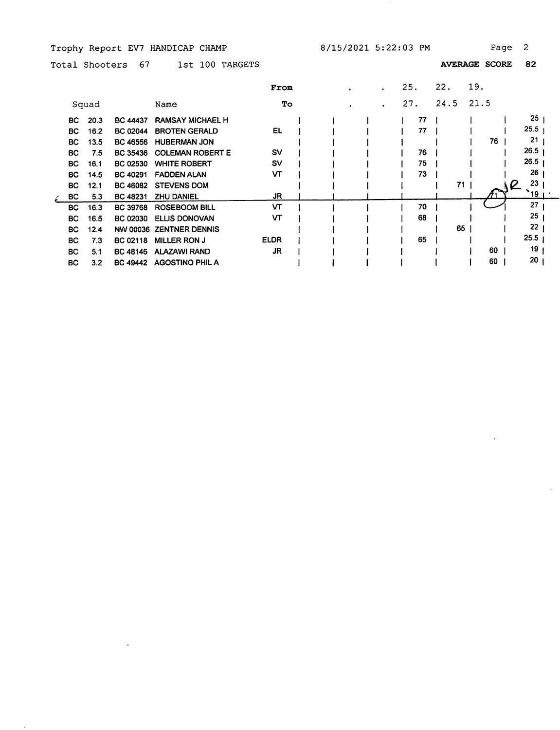Trophy Report EV7 HANDICAP CHAMP 8/15/2021 5:22:03 PM Page 2

 $\mathbf{r}$ 

 $\sim$ 

 $\bar{\beta}$ 

Total Shooters 67 1st 100 TARGETS AVERAGE SCORE 82

|           |       |                 |                         | From        |  |  | 25. |    | 22.  | 19.  |               |
|-----------|-------|-----------------|-------------------------|-------------|--|--|-----|----|------|------|---------------|
|           | Squad |                 | Name                    | To          |  |  | 27. |    | 24.5 | 21.5 |               |
| BC.       | 20.3  | <b>BC 44437</b> | <b>RAMSAY MICHAEL H</b> |             |  |  |     | 77 |      |      | 25            |
| BC        | 16.2  | <b>BC 02044</b> | <b>BROTEN GERALD</b>    | <b>EL</b>   |  |  |     | 77 |      |      | 25.5          |
| BC.       | 13.5  | <b>BC 46556</b> | <b>HUBERMAN JON</b>     |             |  |  |     |    |      | 76   | 21            |
| <b>BC</b> | 7.5   | <b>BC 35436</b> | <b>COLEMAN ROBERT E</b> | sv          |  |  |     | 76 |      |      | 26.5          |
| BC.       | 16.1  | <b>BC 02530</b> | <b>WHITE ROBERT</b>     | <b>SV</b>   |  |  |     | 75 |      |      | 26.5          |
| <b>BC</b> | 14.5  | <b>BC 40291</b> | <b>FADDEN ALAN</b>      | VТ          |  |  |     | 73 |      |      | 26            |
| BC.       | 12.1  | <b>BC 46082</b> | <b>STEVENS DOM</b>      |             |  |  |     |    | 71   |      | 23<br>L       |
| BC        | 5.3   | <b>BC 48231</b> | <b>ZHU DANIEL</b>       | JR          |  |  |     |    |      |      | $\degree$ 19. |
| BC.       | 16.3  | <b>BC 39768</b> | <b>ROSEBOOM BILL</b>    | VT          |  |  |     | 70 |      |      | 27            |
| <b>BC</b> | 16.5  | <b>BC 02030</b> | <b>ELLIS DONOVAN</b>    | VT          |  |  |     | 68 |      |      | 25            |
| BC.       | 12.4  |                 | NW 00036 ZENTNER DENNIS |             |  |  |     |    | 65   |      | 22            |
| <b>BC</b> | 7.3   | BC 02118        | <b>MILLER RON J</b>     | <b>ELDR</b> |  |  |     | 65 |      |      | 25.5          |
| BC.       | 5.1   | <b>BC 48146</b> | <b>ALAZAWI RAND</b>     | JR.         |  |  |     |    |      | 60   | 19            |
| BC.       | 3.2   | <b>BC 49442</b> | <b>AGOSTINO PHIL A</b>  |             |  |  |     |    |      | 60   | 20            |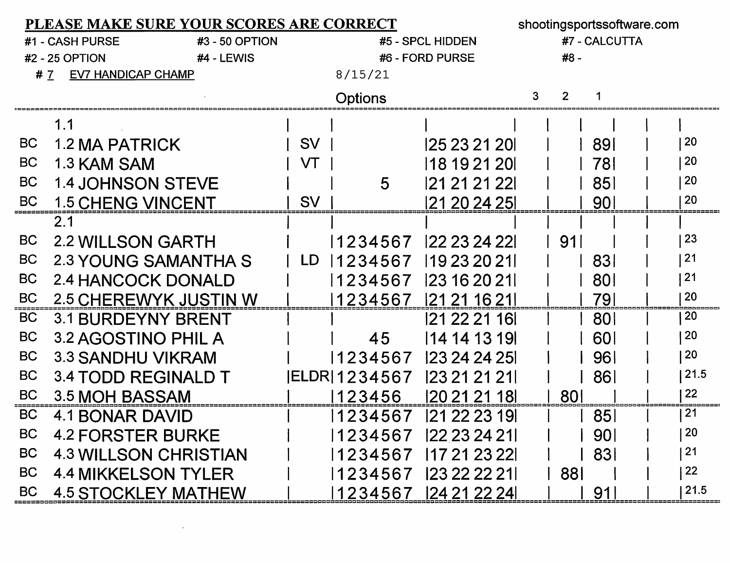| <b>PLEASE MAKE SURE YOUR SCORES ARE CORRECT</b> |                                 |   |                |               |                  |               |            | shootingsportssoftware.com |              |  |  |  |  |
|-------------------------------------------------|---------------------------------|---|----------------|---------------|------------------|---------------|------------|----------------------------|--------------|--|--|--|--|
| #1 - CASH PURSE<br>#3 - 50 OPTION               |                                 |   |                |               | #5 - SPCL HIDDEN | #7 - CALCUTTA |            |                            |              |  |  |  |  |
| #2 - 25 OPTION<br>#4 - LEWIS                    |                                 |   |                |               | #6 - FORD PURSE  |               | #8 -       |                            |              |  |  |  |  |
|                                                 | <b>EV7 HANDICAP CHAMP</b><br>#7 |   |                | 8/15/21       |                  |               |            |                            |              |  |  |  |  |
|                                                 |                                 | 3 | $\overline{2}$ |               |                  |               |            |                            |              |  |  |  |  |
|                                                 | 1.1                             |   |                |               |                  |               |            |                            |              |  |  |  |  |
| <b>BC</b>                                       | <b>1.2 MA PATRICK</b>           |   | <b>SV</b>      |               | 125 23 21 201    |               |            | 891                        | <b>20</b>    |  |  |  |  |
| <b>BC</b>                                       | 1.3 KAM SAM                     |   | VT             |               | 118 19 21 20     |               |            | 781                        | 20           |  |  |  |  |
| <b>BC</b>                                       | <b>1.4 JOHNSON STEVE</b>        |   |                | 5             | 121 21 21 221    |               |            | 85                         | 20           |  |  |  |  |
| <b>BC</b>                                       | <b>1.5 CHENG VINCENT</b>        |   | <b>SV</b>      |               | 121 20 24 251    |               |            | 90 <sub>l</sub>            | 20           |  |  |  |  |
|                                                 | 2.1                             |   |                |               |                  |               |            |                            |              |  |  |  |  |
| BC                                              | <b>2.2 WILLSON GARTH</b>        |   |                | 1234567       | 22 23 24 22      |               | 91         |                            | 23           |  |  |  |  |
| <b>BC</b>                                       | 2.3 YOUNG SAMANTHA S            |   | LD.            | 1234567       | 119 23 20 21     |               |            | 831                        | 21           |  |  |  |  |
| <b>BC</b>                                       | 2.4 HANCOCK DONALD              |   |                | 1234567       | 123 16 20 21     |               |            | 801                        | 21           |  |  |  |  |
| <b>BC</b>                                       | 2.5 CHEREWYK JUSTIN W           |   |                | 1234567       | 121 21 16 211    |               |            | 791                        | 20           |  |  |  |  |
| <b>BC</b>                                       | <b>3.1 BURDEYNY BRENT</b>       |   |                |               | 121 22 21 161    |               |            | <b>801</b>                 | 20           |  |  |  |  |
| <b>BC</b>                                       | 3.2 AGOSTINO PHIL A             |   |                | 45            | 14 14 13 19      |               |            | <b>601</b>                 | 20           |  |  |  |  |
| <b>BC</b>                                       | 3.3 SANDHU VIKRAM               |   |                | 1234567       | 123 24 24 25     |               |            | 96                         | 20           |  |  |  |  |
| <b>BC</b>                                       | 3.4 TODD REGINALD T             |   |                | IELDR 1234567 | 123 21 21 21 1   |               |            | 861                        | 21.5         |  |  |  |  |
| <b>BC</b>                                       | 3.5 MOH BASSAM                  |   |                | 123456        | 120 21 21 18     |               | 80         |                            | 22           |  |  |  |  |
| <b>BC</b>                                       | 4.1 BONAR DAVID                 |   |                | 1234567       | 121 22 23 191    |               |            | 85                         | 21           |  |  |  |  |
| BC                                              | <b>4.2 FORSTER BURKE</b>        |   |                | 1234567       | 22 23 24 21      |               |            | 901                        | $ 20\rangle$ |  |  |  |  |
| <b>BC</b>                                       | <b>4.3 WILLSON CHRISTIAN</b>    |   |                | 1234567       | 17 21 23 22      |               |            | 831                        | 21           |  |  |  |  |
| BC                                              | <b>4.4 MIKKELSON TYLER</b>      |   |                | 1234567       | 123 22 22 211    |               | <b>881</b> |                            | 22           |  |  |  |  |
| <b>BC</b>                                       | <b>4.5 STOCKLEY MATHEW</b>      |   |                | 1234567       | 24 21 22 24      |               |            | 91                         | 21.5         |  |  |  |  |

 $\mathcal{L}(\mathcal{L}^{\mathcal{L}})$  and  $\mathcal{L}(\mathcal{L}^{\mathcal{L}})$  and  $\mathcal{L}(\mathcal{L}^{\mathcal{L}})$  and  $\mathcal{L}(\mathcal{L}^{\mathcal{L}})$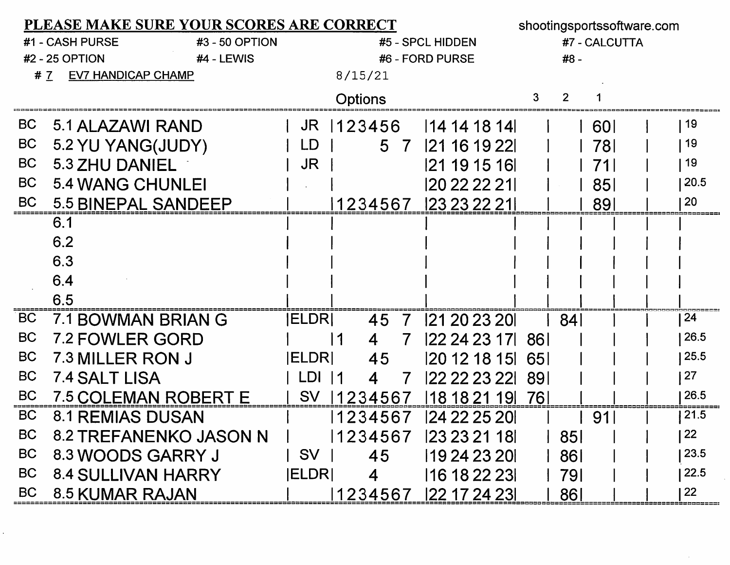|           | PLEASE MAKE SURE YOUR SCORES ARE CORRECT |               | shootingsportssoftware.com |                   |            |                |            |      |
|-----------|------------------------------------------|---------------|----------------------------|-------------------|------------|----------------|------------|------|
|           | #3 - 50 OPTION<br>#1 - CASH PURSE        |               |                            | #5 - SPCL HIDDEN  |            | #7 - CALCUTTA  |            |      |
|           | #2 - 25 OPTION<br>$#4$ - LEWIS           |               |                            | #6 - FORD PURSE   |            | #8 -           |            |      |
|           | <b>EV7 HANDICAP CHAMP</b><br>#7          |               | 8/15/21                    |                   |            |                |            |      |
|           |                                          |               | <b>Options</b>             |                   | 3          | $\overline{2}$ |            |      |
| <b>BC</b> | 5.1 ALAZAWI RAND                         | JR            | 123456                     | 14 14 18 14       |            |                | <b>601</b> | 19   |
| <b>BC</b> | 5.2 YU YANG(JUDY)                        | LD            | 5 7                        | 21 16 19 22       |            |                | 78I        | 19   |
| <b>BC</b> | 5.3 ZHU DANIEL                           | <b>JR</b>     |                            | 121 19 15 161     |            |                | 711        | 19   |
| <b>BC</b> | 5.4 WANG CHUNLEI                         |               |                            | 120 22 22 211     |            |                | 851        | 20.5 |
| <b>BC</b> | 5.5 BINEPAL SANDEEP                      |               |                            | 1234567  23232221 |            |                | 891        | 20   |
|           | 6.1                                      |               |                            |                   |            |                |            |      |
|           | 6.2                                      |               |                            |                   |            |                |            |      |
|           | 6.3                                      |               |                            |                   |            |                |            |      |
|           | 6.4                                      |               |                            |                   |            |                |            |      |
|           | 6.5                                      |               |                            |                   |            |                |            |      |
| BC        | 7.1 BOWMAN BRIAN G                       | <b>IELDRI</b> | 45<br>$\overline{7}$       | 121 20 23 201     |            | 84             |            | 24   |
| <b>BC</b> | 7.2 FOWLER GORD                          |               | l 1<br>7<br>4              | 122 24 23 171     | -861       |                |            | 26.5 |
| <b>BC</b> | 7.3 MILLER RON J                         | <b>ELDRI</b>  | 45                         | 20 12 18 15       | <b>651</b> |                |            | 25.5 |
| <b>BC</b> | <b>7.4 SALT LISA</b>                     | LDI 11        | 7<br>4                     | 22 22 23 22       | -891       |                |            | 27   |
| <b>BC</b> | <b>7.5 COLEMAN ROBERT E</b>              | <b>SV</b>     | 1234567                    | 18 18 21 19       | 761        |                |            | 26.5 |
| <b>BC</b> | 8.1 REMIAS DUSAN                         |               |                            | 1234567  24222520 |            |                | 91         | 21.5 |
| <b>BC</b> | 8.2 TREFANENKO JASON N                   |               | 1234567                    | 123 23 21 181     |            | 851            |            | 22   |
| <b>BC</b> | 8.3 WOODS GARRY J                        | SV            | 45                         | 19 24 23 20       |            | 861            |            | 23.5 |
| <b>BC</b> | <b>8.4 SULLIVAN HARRY</b>                | <b>ELDRI</b>  | $\overline{4}$             | 16 18 22 23       |            | 791            |            | 22.5 |
| <b>BC</b> | 8.5 KUMAR RAJAN                          |               | 1234567                    | 122 17 24 231     |            | 861            |            | 22   |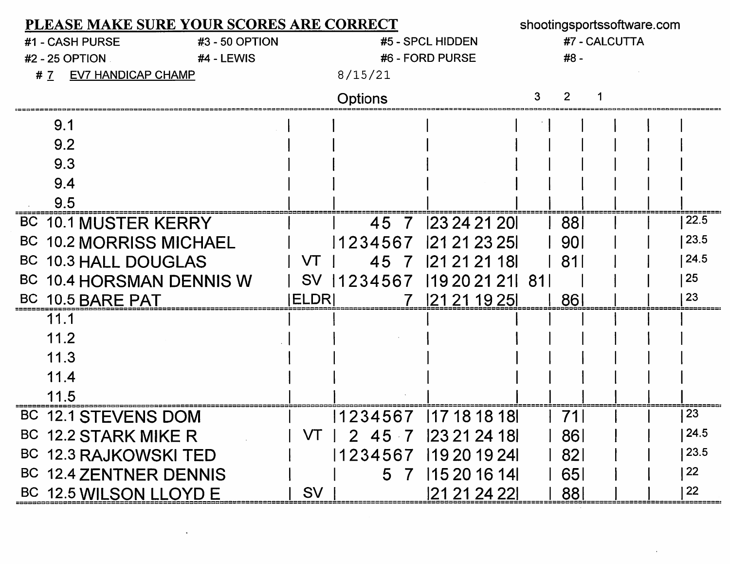| PLEASE MAKE SURE YOUR SCORES ARE CORRECT | shootingsportssoftware.com |          |                    |     |            |  |  |      |
|------------------------------------------|----------------------------|----------|--------------------|-----|------------|--|--|------|
| #3 - 50 OPTION<br>#1 - CASH PURSE        |                            |          | #7 - CALCUTTA      |     |            |  |  |      |
| #2 - 25 OPTION<br>#4 - LEWIS             |                            |          | #6 - FORD PURSE    |     | #8 -       |  |  |      |
| <b>EV7 HANDICAP CHAMP</b><br>#7          |                            | 8/15/21  |                    |     |            |  |  |      |
|                                          |                            | Options  |                    |     |            |  |  |      |
| 9.1                                      |                            |          |                    |     |            |  |  |      |
| 9.2                                      |                            |          |                    |     |            |  |  |      |
| 9.3                                      |                            |          |                    |     |            |  |  |      |
| 9.4                                      |                            |          |                    |     |            |  |  |      |
| 9.5                                      |                            |          |                    |     |            |  |  |      |
| BC 10.1 MUSTER KERRY                     |                            | 45 7     | 23 24 21 20        |     | 881        |  |  | 22.5 |
| <b>BC 10.2 MORRISS MICHAEL</b>           |                            | 1234567  | 121 21 23 251      |     | <u>901</u> |  |  | 23.5 |
| BC 10.3 HALL DOUGLAS                     | VT                         | 45<br>7  | 121 21 21 181      |     | 81         |  |  | 24.5 |
| BC 10.4 HORSMAN DENNIS W                 | <b>SV</b>                  | 11234567 | 119 20 21 21       | -81 |            |  |  | 25   |
| BC 10.5 BARE PAT                         | ELDRI                      |          | 121 21 19 251      |     | 86         |  |  | 23   |
| 11.1                                     |                            |          |                    |     |            |  |  |      |
| 11.2                                     |                            |          |                    |     |            |  |  |      |
| 11.3                                     |                            |          |                    |     |            |  |  |      |
| 11.4                                     |                            |          |                    |     |            |  |  |      |
| 11.5                                     |                            |          |                    |     |            |  |  |      |
| <b>BC</b><br><b>12.1 STEVENS DOM</b>     |                            | 1234567  | 117 18 18 18       |     |            |  |  | 23   |
| BC 12.2 STARK MIKE R                     | VT.                        |          | 2 45 7 23 21 24 18 |     | 861        |  |  | 24.5 |
| BC 12.3 RAJKOWSKI TED                    |                            | 1234567  | 119 20 19 24       |     | 821        |  |  | 23.5 |
| BC 12.4 ZENTNER DENNIS                   |                            | 5 7      | 115 20 16 14       |     | 651        |  |  | 22   |
| BC 12.5 WILSON LLOYD E                   | <b>SV</b>                  |          | 21 21 24 22        |     | 88         |  |  | 22   |

 $\mathcal{L}^{\text{max}}_{\text{max}}$  and  $\mathcal{L}^{\text{max}}_{\text{max}}$ 

 $\sim 100$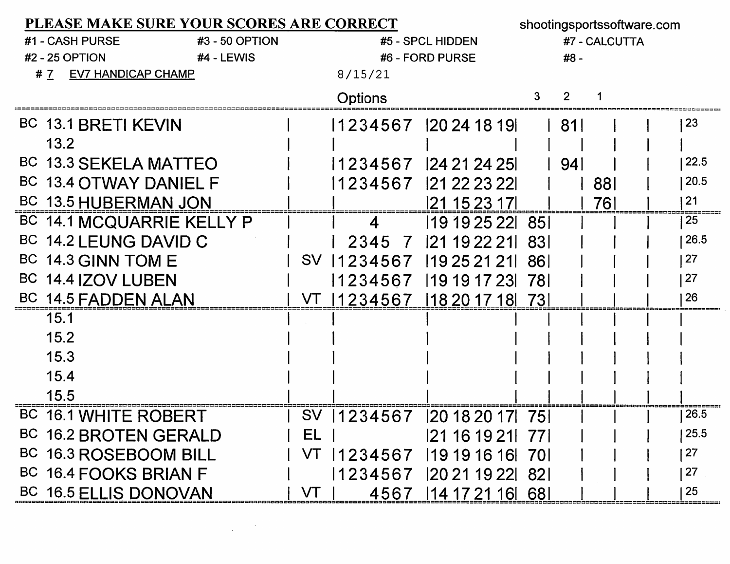| PLEASE MAKE SURE YOUR SCORES ARE CORRECT |                  |                 |                               |               | shootingsportssoftware.com |     |             |  |  |  |
|------------------------------------------|------------------|-----------------|-------------------------------|---------------|----------------------------|-----|-------------|--|--|--|
| #1 - CASH PURSE<br>#3 - 50 OPTION        | #5 - SPCL HIDDEN |                 |                               | #7 - CALCUTTA |                            |     |             |  |  |  |
| <b>#2 - 25 OPTION</b><br>#4 - LEWIS      |                  | #6 - FORD PURSE |                               | #8 -          |                            |     |             |  |  |  |
| <b>EV7 HANDICAP CHAMP</b><br># $7$       | 8/15/21          |                 |                               |               |                            |     |             |  |  |  |
|                                          |                  | <b>Options</b>  |                               |               |                            |     |             |  |  |  |
| BC 13.1 BRETI KEVIN                      |                  |                 | 1234567 2024 18 19            |               | -811                       |     | 23          |  |  |  |
| 13.2                                     |                  |                 |                               |               |                            |     |             |  |  |  |
| BC 13.3 SEKELA MATTEO                    |                  |                 | 1234567 24 21 24 25           |               | 941                        |     | 22.5        |  |  |  |
| BC 13.4 OTWAY DANIEL F                   |                  |                 | 1234567 121 22 23 221         |               |                            | 881 | 20.5        |  |  |  |
| BC 13.5 HUBERMAN JON                     |                  |                 | 121 15 23 171                 |               |                            | 761 | $21$        |  |  |  |
| BC 14.1 MCQUARRIE KELLY P                |                  | 4               | 119 19 25 22 85 1             |               |                            |     | 25          |  |  |  |
| BC 14.2 LEUNG DAVID C                    |                  |                 | 2345 7 21 19 22 21 83         |               |                            |     | 26.5        |  |  |  |
| BC 14.3 GINN TOM E                       |                  |                 | SV 1234567 19252121           | -861          |                            |     | 27          |  |  |  |
| BC 14.4 IZOV LUBEN                       |                  |                 | 1234567 19191723 78           |               |                            |     | $\sqrt{27}$ |  |  |  |
| BC 14.5 FADDEN ALAN                      |                  |                 | VT  1234567  18201718  73     |               |                            |     | 26          |  |  |  |
| 15.1                                     |                  |                 |                               |               |                            |     |             |  |  |  |
| 15.2                                     |                  |                 |                               |               |                            |     |             |  |  |  |
| 15.3                                     |                  |                 |                               |               |                            |     |             |  |  |  |
| 15.4                                     |                  |                 |                               |               |                            |     |             |  |  |  |
| 15.5                                     |                  |                 |                               |               |                            |     |             |  |  |  |
| BC 16.1 WHITE ROBERT                     |                  |                 | SV 1234567 2018 2017 75       |               |                            |     | 26.5        |  |  |  |
| BC 16.2 BROTEN GERALD                    | EL               |                 | 21 16 19 21 77                |               |                            |     | 125.5       |  |  |  |
| BC 16.3 ROSEBOOM BILL                    |                  |                 | VT   1234567   1919 1616   70 |               |                            |     | 27          |  |  |  |
| BC 16.4 FOOKS BRIAN F                    |                  |                 | 1234567  20211922  82         |               |                            |     | 27          |  |  |  |
| BC 16.5 ELLIS DONOVAN                    | VT               |                 | 4567 14 17 21 16 68           |               |                            |     | 25          |  |  |  |

 $\label{eq:2.1} \frac{1}{\sqrt{2}}\int_{\mathbb{R}^3}\frac{1}{\sqrt{2}}\left(\frac{1}{\sqrt{2}}\right)^2\frac{1}{\sqrt{2}}\left(\frac{1}{\sqrt{2}}\right)^2\frac{1}{\sqrt{2}}\left(\frac{1}{\sqrt{2}}\right)^2\frac{1}{\sqrt{2}}\left(\frac{1}{\sqrt{2}}\right)^2.$